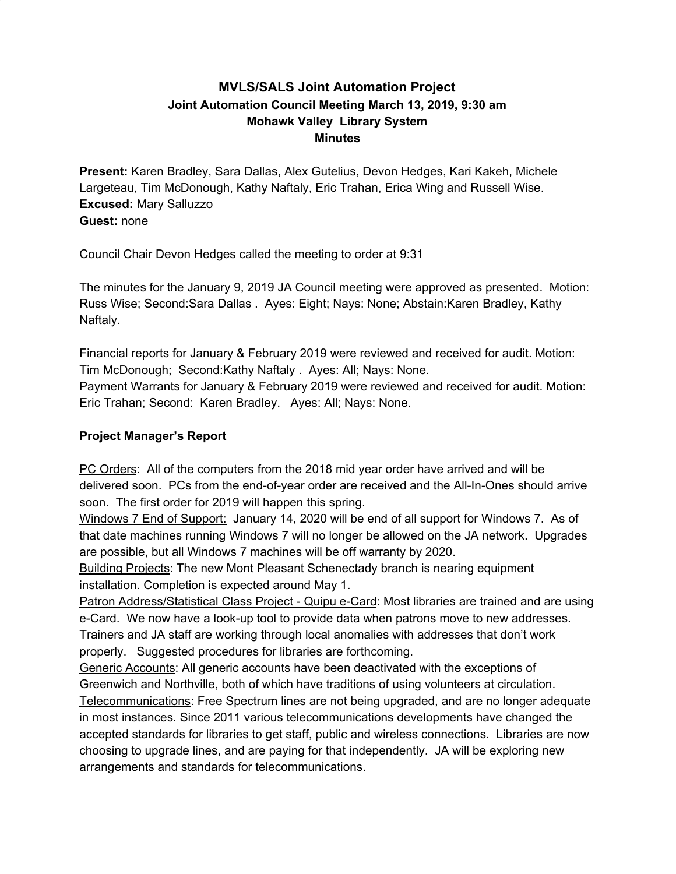# **MVLS/SALS Joint Automation Project Joint Automation Council Meeting March 13, 2019, 9:30 am Mohawk Valley Library System Minutes**

**Present:** Karen Bradley, Sara Dallas, Alex Gutelius, Devon Hedges, Kari Kakeh, Michele Largeteau, Tim McDonough, Kathy Naftaly, Eric Trahan, Erica Wing and Russell Wise. **Excused:** Mary Salluzzo **Guest:** none

Council Chair Devon Hedges called the meeting to order at 9:31

The minutes for the January 9, 2019 JA Council meeting were approved as presented. Motion: Russ Wise; Second:Sara Dallas . Ayes: Eight; Nays: None; Abstain:Karen Bradley, Kathy Naftaly.

Financial reports for January & February 2019 were reviewed and received for audit. Motion: Tim McDonough; Second:Kathy Naftaly . Ayes: All; Nays: None. Payment Warrants for January & February 2019 were reviewed and received for audit. Motion: Eric Trahan; Second: Karen Bradley. Ayes: All; Nays: None.

## **Project Manager's Report**

PC Orders: All of the computers from the 2018 mid year order have arrived and will be delivered soon. PCs from the end-of-year order are received and the All-In-Ones should arrive soon. The first order for 2019 will happen this spring.

Windows 7 End of Support: January 14, 2020 will be end of all support for Windows 7. As of that date machines running Windows 7 will no longer be allowed on the JA network. Upgrades are possible, but all Windows 7 machines will be off warranty by 2020.

Building Projects: The new Mont Pleasant Schenectady branch is nearing equipment installation. Completion is expected around May 1.

Patron Address/Statistical Class Project - Quipu e-Card: Most libraries are trained and are using e-Card. We now have a look-up tool to provide data when patrons move to new addresses. Trainers and JA staff are working through local anomalies with addresses that don't work properly. Suggested procedures for libraries are forthcoming.

Generic Accounts: All generic accounts have been deactivated with the exceptions of Greenwich and Northville, both of which have traditions of using volunteers at circulation.

Telecommunications: Free Spectrum lines are not being upgraded, and are no longer adequate in most instances. Since 2011 various telecommunications developments have changed the accepted standards for libraries to get staff, public and wireless connections. Libraries are now choosing to upgrade lines, and are paying for that independently. JA will be exploring new arrangements and standards for telecommunications.